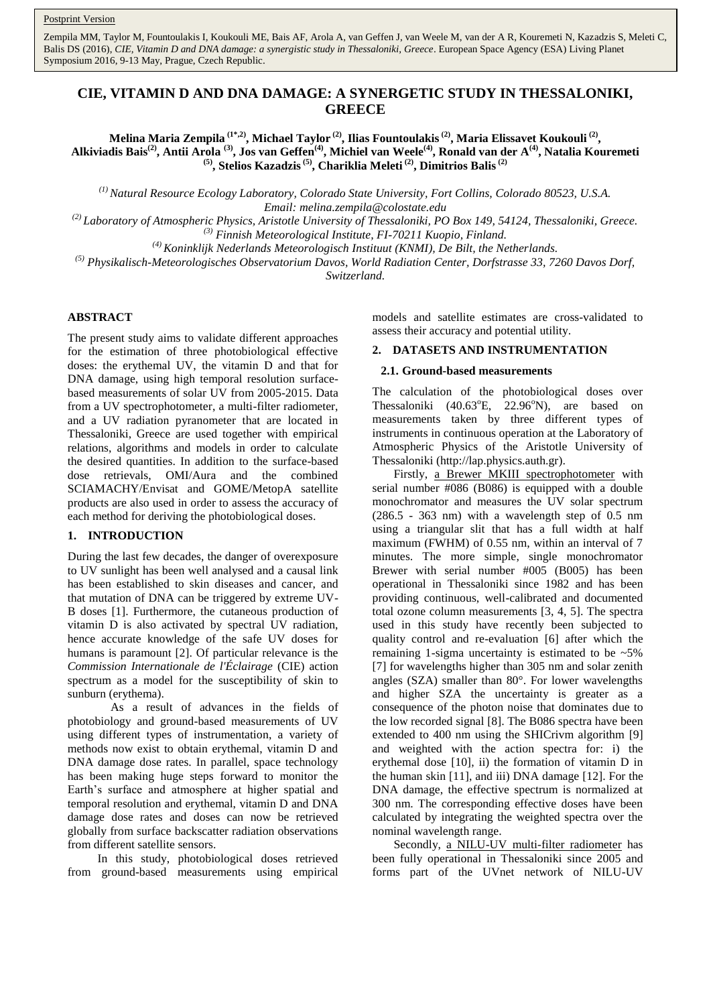Zempila MM, Taylor M, Fountoulakis I, Koukouli ME, Bais AF, Arola A, van Geffen J, van Weele M, van der A R, Kouremeti N, Kazadzis S, Meleti C, Balis DS (2016), *CIE, Vitamin D and DNA damage: a synergistic study in Thessaloniki, Greece*. European Space Agency (ESA) Living Planet Symposium 2016, 9-13 May, Prague, Czech Republic.

# **CIE, VITAMIN D AND DNA DAMAGE: A SYNERGETIC STUDY IN THESSALONIKI, GREECE**

**Melina Maria Zempila (1\*,2), Michael Taylor (2), Ilias Fountoulakis(2), Maria Elissavet Koukouli (2) , Alkiviadis Bais(2), Antii Arola (3), Jos van Geffen(4), Michiel van Weele(4) , Ronald van der A(4), Natalia Kouremeti (5), Stelios Kazadzis(5), Chariklia Meleti (2), Dimitrios Balis(2)**

*(1) Natural Resource Ecology Laboratory, Colorado State University, Fort Collins, Colorado 80523, U.S.A. Email: melina.zempila@colostate.edu* 

*(2) Laboratory of Atmospheric Physics, Aristotle University of Thessaloniki, PO Box 149, 54124, Thessaloniki, Greece. (3) Finnish Meteorological Institute, FI-70211 Kuopio, Finland.*

*(4) Koninklijk Nederlands Meteorologisch Instituut (KNMI), De Bilt, the Netherlands.*

*(5) Physikalisch-Meteorologisches Observatorium Davos, World Radiation Center, Dorfstrasse 33, 7260 Davos Dorf,* 

*Switzerland.*

### **ABSTRACT**

The present study aims to validate different approaches for the estimation of three photobiological effective doses: the erythemal UV, the vitamin D and that for DNA damage, using high temporal resolution surfacebased measurements of solar UV from 2005-2015. Data from a UV spectrophotometer, a multi-filter radiometer, and a UV radiation pyranometer that are located in Thessaloniki, Greece are used together with empirical relations, algorithms and models in order to calculate the desired quantities. In addition to the surface-based dose retrievals, OMI/Aura and the combined SCIAMACHY/Envisat and GOME/MetopA satellite products are also used in order to assess the accuracy of each method for deriving the photobiological doses.

## **1. INTRODUCTION**

During the last few decades, the danger of overexposure to UV sunlight has been well analysed and a causal link has been established to skin diseases and cancer, and that mutation of DNA can be triggered by extreme UV-B doses [1]. Furthermore, the cutaneous production of vitamin D is also activated by spectral UV radiation, hence accurate knowledge of the safe UV doses for humans is paramount [2]. Of particular relevance is the *Commission Internationale de l'Éclairage* (CIE) action spectrum as a model for the susceptibility of skin to sunburn (erythema).

As a result of advances in the fields of photobiology and ground-based measurements of UV using different types of instrumentation, a variety of methods now exist to obtain erythemal, vitamin D and DNA damage dose rates. In parallel, space technology has been making huge steps forward to monitor the Earth"s surface and atmosphere at higher spatial and temporal resolution and erythemal, vitamin D and DNA damage dose rates and doses can now be retrieved globally from surface backscatter radiation observations from different satellite sensors.

In this study, photobiological doses retrieved from ground-based measurements using empirical models and satellite estimates are cross-validated to assess their accuracy and potential utility.

# **2. DATASETS AND INSTRUMENTATION**

#### **2.1. Ground-based measurements**

The calculation of the photobiological doses over Thessaloniki  $(40.63^{\circ}E, 22.96^{\circ}N)$ , are based on measurements taken by three different types of instruments in continuous operation at the Laboratory of Atmospheric Physics of the Aristotle University of Thessaloniki (http://lap.physics.auth.gr).

Firstly, a Brewer MKIII spectrophotometer with serial number #086 (B086) is equipped with a double monochromator and measures the UV solar spectrum (286.5 - 363 nm) with a wavelength step of 0.5 nm using a triangular slit that has a full width at half maximum (FWHM) of 0.55 nm, within an interval of 7 minutes. The more simple, single monochromator Brewer with serial number #005 (B005) has been operational in Thessaloniki since 1982 and has been providing continuous, well-calibrated and documented total ozone column measurements [3, 4, 5]. The spectra used in this study have recently been subjected to quality control and re-evaluation [6] after which the remaining 1-sigma uncertainty is estimated to be  $\sim$  5% [7] for wavelengths higher than 305 nm and solar zenith angles (SZA) smaller than 80°. For lower wavelengths and higher SZA the uncertainty is greater as a consequence of the photon noise that dominates due to the low recorded signal [8]. The B086 spectra have been extended to 400 nm using the SHICrivm algorithm [9] and weighted with the action spectra for: i) the erythemal dose [10], ii) the formation of vitamin D in the human skin [11], and iii) DNA damage [12]. For the DNA damage, the effective spectrum is normalized at 300 nm. The corresponding effective doses have been calculated by integrating the weighted spectra over the nominal wavelength range.

Secondly, a NILU-UV multi-filter radiometer has been fully operational in Thessaloniki since 2005 and forms part of the UVnet network of NILU-UV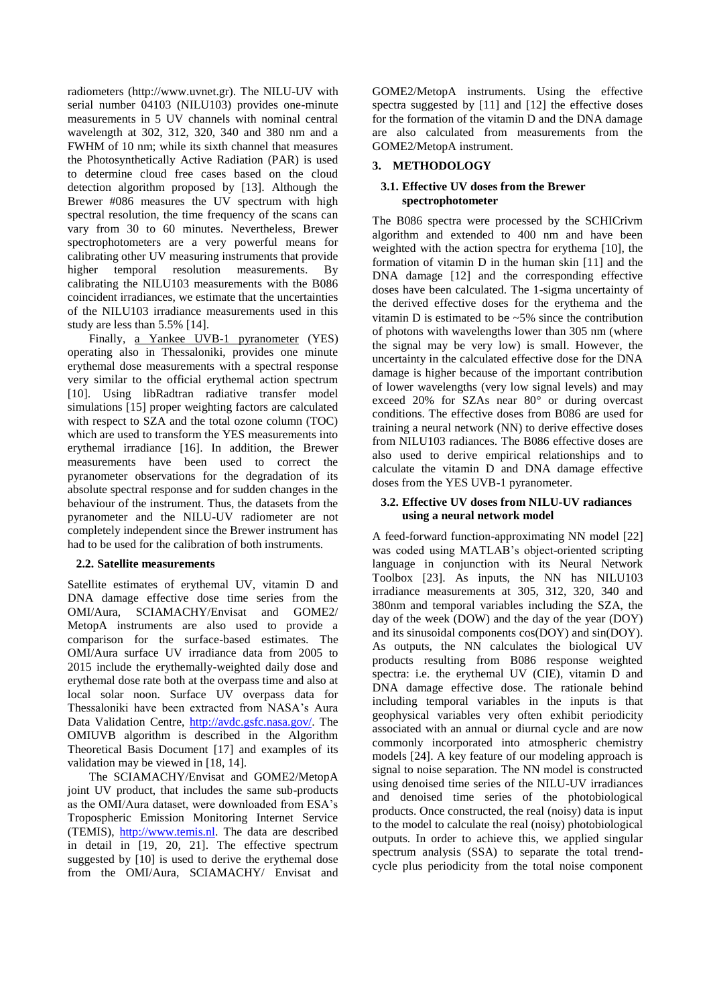radiometers (http://www.uvnet.gr). The NILU-UV with serial number 04103 (NILU103) provides one-minute measurements in 5 UV channels with nominal central wavelength at 302, 312, 320, 340 and 380 nm and a FWHM of 10 nm; while its sixth channel that measures the Photosynthetically Active Radiation (PAR) is used to determine cloud free cases based on the cloud detection algorithm proposed by [13]. Although the Brewer #086 measures the UV spectrum with high spectral resolution, the time frequency of the scans can vary from 30 to 60 minutes. Nevertheless, Brewer spectrophotometers are a very powerful means for calibrating other UV measuring instruments that provide<br>higher temporal resolution measurements. By temporal resolution measurements. By calibrating the NILU103 measurements with the B086 coincident irradiances, we estimate that the uncertainties of the NILU103 irradiance measurements used in this study are less than 5.5% [14].

Finally, <u>a Yankee UVB-1 pyranometer</u> (YES) operating also in Thessaloniki, provides one minute erythemal dose measurements with a spectral response very similar to the official erythemal action spectrum [10]. Using libRadtran radiative transfer model simulations [15] proper weighting factors are calculated with respect to SZA and the total ozone column (TOC) which are used to transform the YES measurements into erythemal irradiance [16]. In addition, the Brewer measurements have been used to correct the pyranometer observations for the degradation of its absolute spectral response and for sudden changes in the behaviour of the instrument. Thus, the datasets from the pyranometer and the NILU-UV radiometer are not completely independent since the Brewer instrument has had to be used for the calibration of both instruments.

# **2.2. Satellite measurements**

Satellite estimates of erythemal UV, vitamin D and DNA damage effective dose time series from the OMI/Aura, SCIAMACHY/Envisat and GOME2/ MetopA instruments are also used to provide a comparison for the surface-based estimates. The OMI/Aura surface UV irradiance data from 2005 to 2015 include the erythemally-weighted daily dose and erythemal dose rate both at the overpass time and also at local solar noon. Surface UV overpass data for Thessaloniki have been extracted from NASA"s Aura Data Validation Centre, [http://avdc.gsfc.nasa.gov/.](http://avdc.gsfc.nasa.gov/) The OMIUVB algorithm is described in the Algorithm Theoretical Basis Document [17] and examples of its validation may be viewed in [18, 14].

The SCIAMACHY/Envisat and GOME2/MetopA joint UV product, that includes the same sub-products as the OMI/Aura dataset, were downloaded from ESA"s Tropospheric Emission Monitoring Internet Service (TEMIS), [http://www.temis.nl.](http://www.temis.nl/) The data are described in detail in [19, 20, 21]. The effective spectrum suggested by [10] is used to derive the erythemal dose from the OMI/Aura, SCIAMACHY/ Envisat and GOME2/MetopA instruments. Using the effective spectra suggested by [11] and [12] the effective doses for the formation of the vitamin D and the DNA damage are also calculated from measurements from the GOME2/MetopA instrument.

# **3. METHODOLOGY**

# **3.1. Effective UV doses from the Brewer spectrophotometer**

The B086 spectra were processed by the SCHICrivm algorithm and extended to 400 nm and have been weighted with the action spectra for erythema [10], the formation of vitamin D in the human skin [11] and the DNA damage [12] and the corresponding effective doses have been calculated. The 1-sigma uncertainty of the derived effective doses for the erythema and the vitamin D is estimated to be  $\sim$  5% since the contribution of photons with wavelengths lower than 305 nm (where the signal may be very low) is small. However, the uncertainty in the calculated effective dose for the DNA damage is higher because of the important contribution of lower wavelengths (very low signal levels) and may exceed 20% for SZAs near 80° or during overcast conditions. The effective doses from B086 are used for training a neural network (NN) to derive effective doses from NILU103 radiances. The B086 effective doses are also used to derive empirical relationships and to calculate the vitamin D and DNA damage effective doses from the YES UVB-1 pyranometer.

### **3.2. Effective UV doses from NILU-UV radiances using a neural network model**

A feed-forward function-approximating NN model [22] was coded using MATLAB's object-oriented scripting language in conjunction with its Neural Network Toolbox [23]. As inputs, the NN has NILU103 irradiance measurements at 305, 312, 320, 340 and 380nm and temporal variables including the SZA, the day of the week (DOW) and the day of the year (DOY) and its sinusoidal components cos(DOY) and sin(DOY). As outputs, the NN calculates the biological UV products resulting from B086 response weighted spectra: i.e. the erythemal UV (CIE), vitamin D and DNA damage effective dose. The rationale behind including temporal variables in the inputs is that geophysical variables very often exhibit periodicity associated with an annual or diurnal cycle and are now commonly incorporated into atmospheric chemistry models [24]. A key feature of our modeling approach is signal to noise separation. The NN model is constructed using denoised time series of the NILU-UV irradiances and denoised time series of the photobiological products. Once constructed, the real (noisy) data is input to the model to calculate the real (noisy) photobiological outputs. In order to achieve this, we applied singular spectrum analysis (SSA) to separate the total trendcycle plus periodicity from the total noise component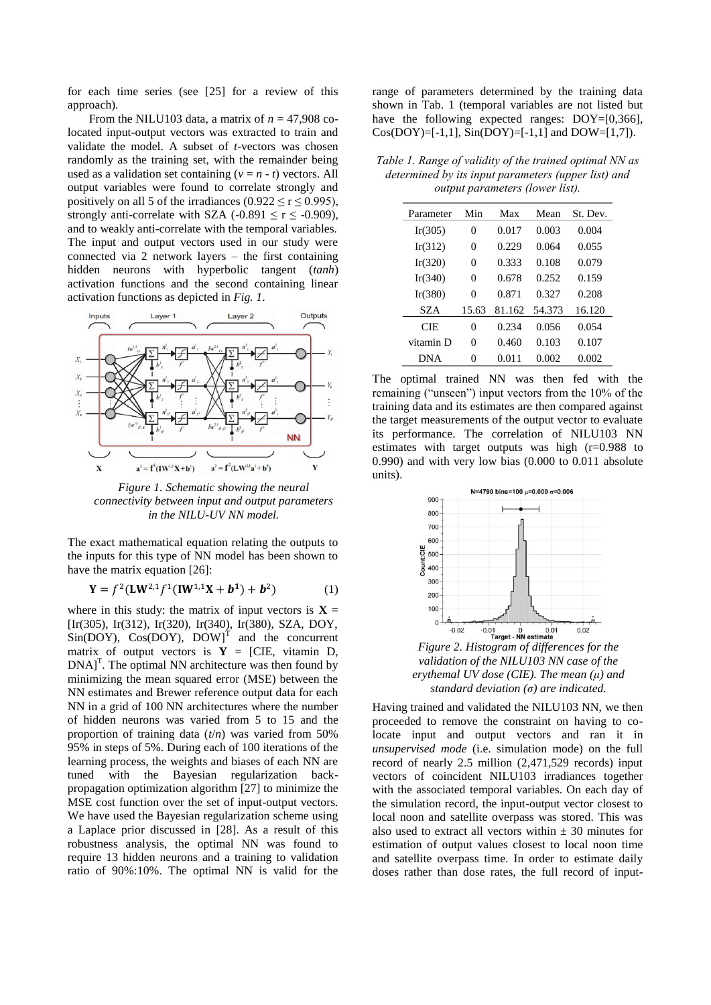for each time series (see [25] for a review of this approach).

From the NILU103 data, a matrix of  $n = 47,908$  colocated input-output vectors was extracted to train and validate the model. A subset of *t*-vectors was chosen randomly as the training set, with the remainder being used as a validation set containing  $(v = n - t)$  vectors. All output variables were found to correlate strongly and positively on all 5 of the irradiances (0.922  $\le$  r  $\le$  0.995), strongly anti-correlate with SZA (-0.891  $\leq$  r  $\leq$  -0.909), and to weakly anti-correlate with the temporal variables. The input and output vectors used in our study were connected via 2 network layers – the first containing hidden neurons with hyperbolic tangent (*tanh*) activation functions and the second containing linear activation functions as depicted in *Fig. 1*.



*Figure 1. Schematic showing the neural connectivity between input and output parameters in the NILU-UV NN model.*

The exact mathematical equation relating the outputs to the inputs for this type of NN model has been shown to have the matrix equation [26]:

$$
\mathbf{Y} = f^2 (\mathbf{L} \mathbf{W}^{2,1} f^1 (\mathbf{I} \mathbf{W}^{1,1} \mathbf{X} + \mathbf{b}^1) + \mathbf{b}^2)
$$
 (1)

where in this study: the matrix of input vectors is  $X =$ [Ir(305), Ir(312), Ir(320), Ir(340), Ir(380), SZA, DOY,  $Sin(DOY)$ ,  $Cos(DOY)$ ,  $DOM$ <sup>T</sup> and the concurrent matrix of output vectors is  $Y = [CIE, vitamin D,$  $DNA$ <sup>T</sup>. The optimal NN architecture was then found by minimizing the mean squared error (MSE) between the NN estimates and Brewer reference output data for each NN in a grid of 100 NN architectures where the number of hidden neurons was varied from 5 to 15 and the proportion of training data (*t*/*n*) was varied from 50% 95% in steps of 5%. During each of 100 iterations of the learning process, the weights and biases of each NN are tuned with the Bayesian regularization backpropagation optimization algorithm [27] to minimize the MSE cost function over the set of input-output vectors. We have used the Bayesian regularization scheme using a Laplace prior discussed in [28]. As a result of this robustness analysis, the optimal NN was found to require 13 hidden neurons and a training to validation ratio of 90%:10%. The optimal NN is valid for the

range of parameters determined by the training data shown in Tab. 1 (temporal variables are not listed but have the following expected ranges: DOY=[0,366], Cos(DOY)=[-1,1], Sin(DOY)=[-1,1] and DOW=[1,7]).

*Table 1. Range of validity of the trained optimal NN as determined by its input parameters (upper list) and output parameters (lower list).*

| Parameter  | Min   | Max    | Mean   | St. Dev. |  |
|------------|-------|--------|--------|----------|--|
| Ir(305)    | 0     | 0.017  | 0.003  | 0.004    |  |
| Ir(312)    | 0     | 0.229  | 0.064  | 0.055    |  |
| Ir(320)    | 0     | 0.333  | 0.108  | 0.079    |  |
| Ir(340)    | 0     | 0.678  | 0.252  | 0.159    |  |
| Ir(380)    | 0     | 0.871  | 0.327  | 0.208    |  |
| SZA        | 15.63 | 81.162 | 54.373 | 16.120   |  |
| CIE.       | 0     | 0.234  | 0.056  | 0.054    |  |
| vitamin D  | 0     | 0.460  | 0.103  | 0.107    |  |
| <b>DNA</b> |       | 0.011  | 0.002  | 0.002    |  |

The optimal trained NN was then fed with the remaining ("unseen") input vectors from the 10% of the training data and its estimates are then compared against the target measurements of the output vector to evaluate its performance. The correlation of NILU103 NN estimates with target outputs was high (r=0.988 to 0.990) and with very low bias (0.000 to 0.011 absolute units).



*Figure 2. Histogram of differences for the validation of the NILU103 NN case of the erythemal UV dose (CIE). The mean (μ) and standard deviation (σ) are indicated.*

Having trained and validated the NILU103 NN, we then proceeded to remove the constraint on having to colocate input and output vectors and ran it in *unsupervised mode* (i.e. simulation mode) on the full record of nearly 2.5 million (2,471,529 records) input vectors of coincident NILU103 irradiances together with the associated temporal variables. On each day of the simulation record, the input-output vector closest to local noon and satellite overpass was stored. This was also used to extract all vectors within  $\pm$  30 minutes for estimation of output values closest to local noon time and satellite overpass time. In order to estimate daily doses rather than dose rates, the full record of input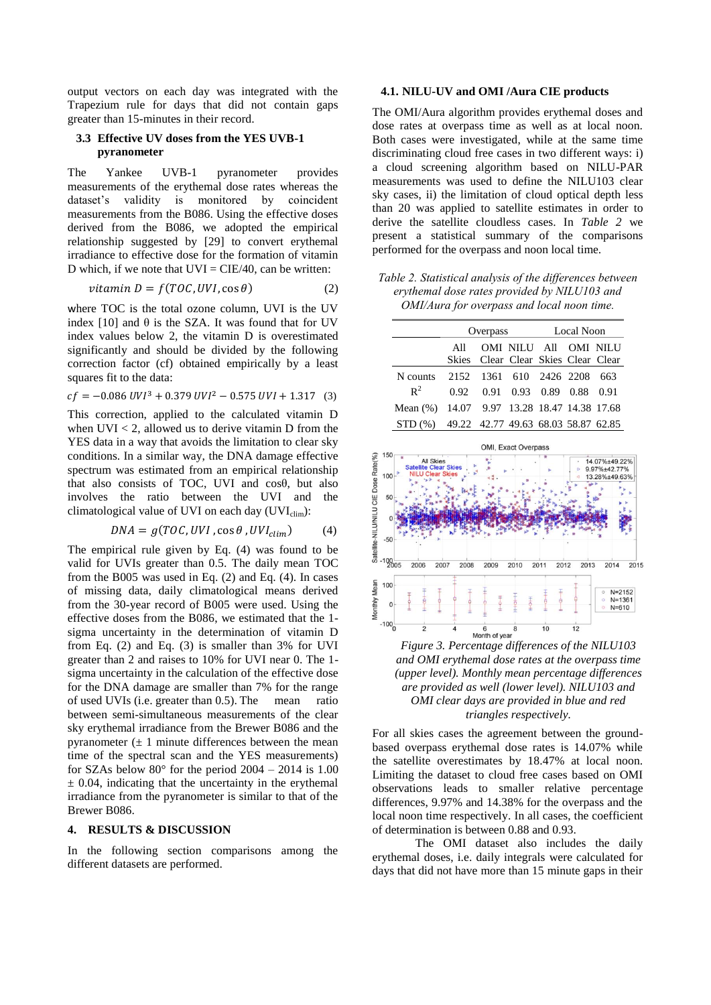output vectors on each day was integrated with the Trapezium rule for days that did not contain gaps greater than 15-minutes in their record.

## **3.3 Effective UV doses from the YES UVB-1 pyranometer**

The Yankee UVB-1 pyranometer provides measurements of the erythemal dose rates whereas the dataset's validity is monitored by coincident measurements from the B086. Using the effective doses derived from the B086, we adopted the empirical relationship suggested by [29] to convert erythemal irradiance to effective dose for the formation of vitamin D which, if we note that  $UVI = CIE/40$ , can be written:

$$
vitamin D = f(TOC, UVI, \cos \theta)
$$
 (2)

where TOC is the total ozone column, UVI is the UV index [10] and  $\theta$  is the SZA. It was found that for UV index values below 2, the vitamin D is overestimated significantly and should be divided by the following correction factor (cf) obtained empirically by a least squares fit to the data:

$$
cf = -0.086 \, UVI^3 + 0.379 \, UVI^2 - 0.575 \, UVI + 1.317 \quad (3)
$$

This correction, applied to the calculated vitamin D when  $UVI < 2$ , allowed us to derive vitamin D from the YES data in a way that avoids the limitation to clear sky conditions. In a similar way, the DNA damage effective spectrum was estimated from an empirical relationship that also consists of TOC, UVI and cosθ, but also involves the ratio between the UVI and the climatological value of UVI on each day  $(UVI_{\text{clim}})$ :

$$
DNA = g(TOC, UVI, \cos \theta, UVI_{clim})
$$
 (4)

The empirical rule given by Eq. (4) was found to be valid for UVIs greater than 0.5. The daily mean TOC from the B005 was used in Eq. (2) and Eq. (4). In cases of missing data, daily climatological means derived from the 30-year record of B005 were used. Using the effective doses from the B086, we estimated that the 1 sigma uncertainty in the determination of vitamin D from Eq. (2) and Eq. (3) is smaller than 3% for UVI greater than 2 and raises to 10% for UVI near 0. The 1 sigma uncertainty in the calculation of the effective dose for the DNA damage are smaller than 7% for the range of used UVIs (i.e. greater than 0.5). The mean ratio between semi-simultaneous measurements of the clear sky erythemal irradiance from the Brewer B086 and the pyranometer  $(\pm 1)$  minute differences between the mean time of the spectral scan and the YES measurements) for SZAs below  $80^{\circ}$  for the period  $2004 - 2014$  is 1.00  $\pm$  0.04, indicating that the uncertainty in the erythemal irradiance from the pyranometer is similar to that of the Brewer B086.

#### **4. RESULTS & DISCUSSION**

In the following section comparisons among the different datasets are performed.

#### **4.1. NILU-UV and OMI /Aura CIE products**

The OMI/Aura algorithm provides erythemal doses and dose rates at overpass time as well as at local noon. Both cases were investigated, while at the same time discriminating cloud free cases in two different ways: i) a cloud screening algorithm based on NILU-PAR measurements was used to define the NILU103 clear sky cases, ii) the limitation of cloud optical depth less than 20 was applied to satellite estimates in order to derive the satellite cloudless cases. In *[Table 2](#page-3-0)* we present a statistical summary of the comparisons performed for the overpass and noon local time.

<span id="page-3-0"></span>*Table 2. Statistical analysis of the differences between erythemal dose rates provided by NILU103 and OMI/Aura for overpass and local noon time.*

|                                             | Overpass                    |  |                                                              | Local Noon |  |  |
|---------------------------------------------|-----------------------------|--|--------------------------------------------------------------|------------|--|--|
|                                             | All                         |  | OMI NILU All OMI NILU<br>Skies Clear Clear Skies Clear Clear |            |  |  |
| N counts                                    | 2152 1361 610 2426 2208 663 |  |                                                              |            |  |  |
| $\mathbb{R}^2$                              |                             |  | 0.92 0.91 0.93 0.89 0.88 0.91                                |            |  |  |
| Mean (%) 14.07 9.97 13.28 18.47 14.38 17.68 |                             |  |                                                              |            |  |  |
| STD (%) 49.22 42.77 49.63 68.03 58.87 62.85 |                             |  |                                                              |            |  |  |



<span id="page-3-1"></span>

For all skies cases the agreement between the groundbased overpass erythemal dose rates is 14.07% while the satellite overestimates by 18.47% at local noon. Limiting the dataset to cloud free cases based on OMI observations leads to smaller relative percentage differences, 9.97% and 14.38% for the overpass and the local noon time respectively. In all cases, the coefficient of determination is between 0.88 and 0.93.

The OMI dataset also includes the daily erythemal doses, i.e. daily integrals were calculated for days that did not have more than 15 minute gaps in their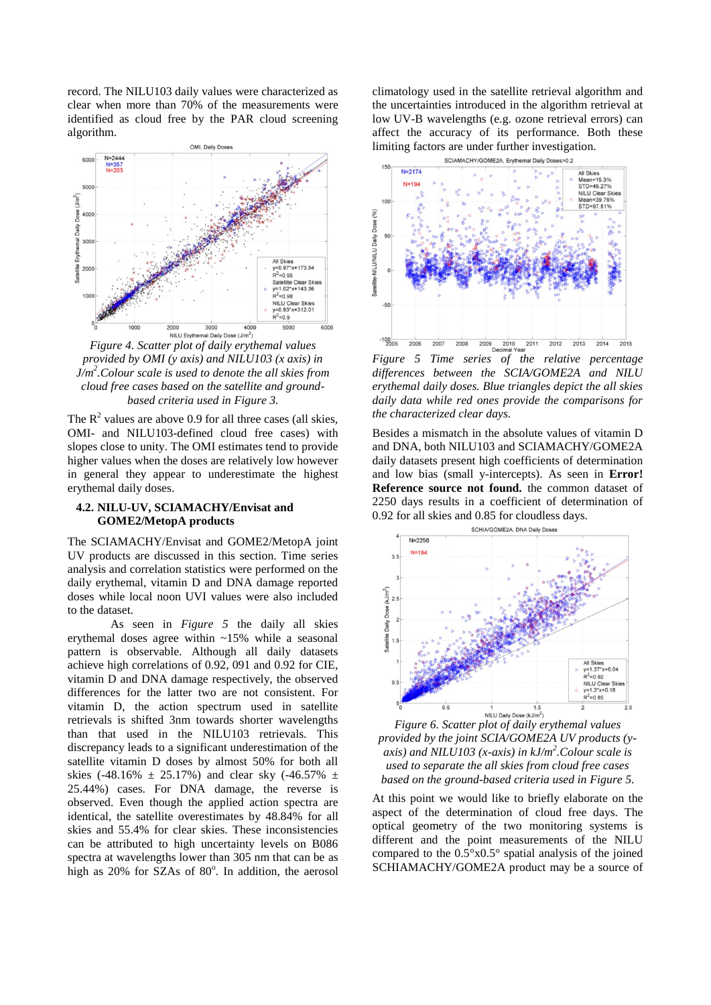record. The NILU103 daily values were characterized as clear when more than 70% of the measurements were identified as cloud free by the PAR cloud screening algorithm.



*Figure 4. Scatter plot of daily erythemal values provided by OMI (y axis) and NILU103 (x axis) in J/m<sup>2</sup> .Colour scale is used to denote the all skies from cloud free cases based on the satellite and groundbased criteria used in [Figure 3.](#page-3-1)*

The  $R^2$  values are above 0.9 for all three cases (all skies, OMI- and NILU103-defined cloud free cases) with slopes close to unity. The OMI estimates tend to provide higher values when the doses are relatively low however in general they appear to underestimate the highest erythemal daily doses.

# **4.2. NILU-UV, SCIAMACHY/Envisat and GOME2/MetopA products**

The SCIAMACHY/Envisat and GOME2/MetopA joint UV products are discussed in this section. Time series analysis and correlation statistics were performed on the daily erythemal, vitamin D and DNA damage reported doses while local noon UVI values were also included to the dataset.

As seen in *[Figure 5](#page-4-0)* the daily all skies erythemal doses agree within ~15% while a seasonal pattern is observable. Although all daily datasets achieve high correlations of 0.92, 091 and 0.92 for CIE, vitamin D and DNA damage respectively, the observed differences for the latter two are not consistent. For vitamin D, the action spectrum used in satellite retrievals is shifted 3nm towards shorter wavelengths than that used in the NILU103 retrievals. This discrepancy leads to a significant underestimation of the satellite vitamin D doses by almost 50% for both all skies (-48.16%  $\pm$  25.17%) and clear sky (-46.57%  $\pm$ 25.44%) cases. For DNA damage, the reverse is observed. Even though the applied action spectra are identical, the satellite overestimates by 48.84% for all skies and 55.4% for clear skies. These inconsistencies can be attributed to high uncertainty levels on B086 spectra at wavelengths lower than 305 nm that can be as high as 20% for SZAs of 80°. In addition, the aerosol climatology used in the satellite retrieval algorithm and the uncertainties introduced in the algorithm retrieval at low UV-B wavelengths (e.g. ozone retrieval errors) can affect the accuracy of its performance. Both these limiting factors are under further investigation.



<span id="page-4-0"></span>*differences between the SCIA/GOME2A and NILU erythemal daily doses. Blue triangles depict the all skies daily data while red ones provide the comparisons for the characterized clear days.*

Besides a mismatch in the absolute values of vitamin D and DNA, both NILU103 and SCIAMACHY/GOME2A daily datasets present high coefficients of determination and low bias (small y-intercepts). As seen in **Error! Reference source not found.** the common dataset of 2250 days results in a coefficient of determination of 0.92 for all skies and 0.85 for cloudless days.



*Figure 6. Scatter plot of daily erythemal values provided by the joint SCIA/GOME2A UV products (yaxis) and NILU103 (x-axis) in kJ/m<sup>2</sup> .Colour scale is used to separate the all skies from cloud free cases based on the ground-based criteria used in [Figure 5.](#page-4-0)*

At this point we would like to briefly elaborate on the aspect of the determination of cloud free days. The optical geometry of the two monitoring systems is different and the point measurements of the NILU compared to the 0.5°x0.5° spatial analysis of the joined SCHIAMACHY/GOME2A product may be a source of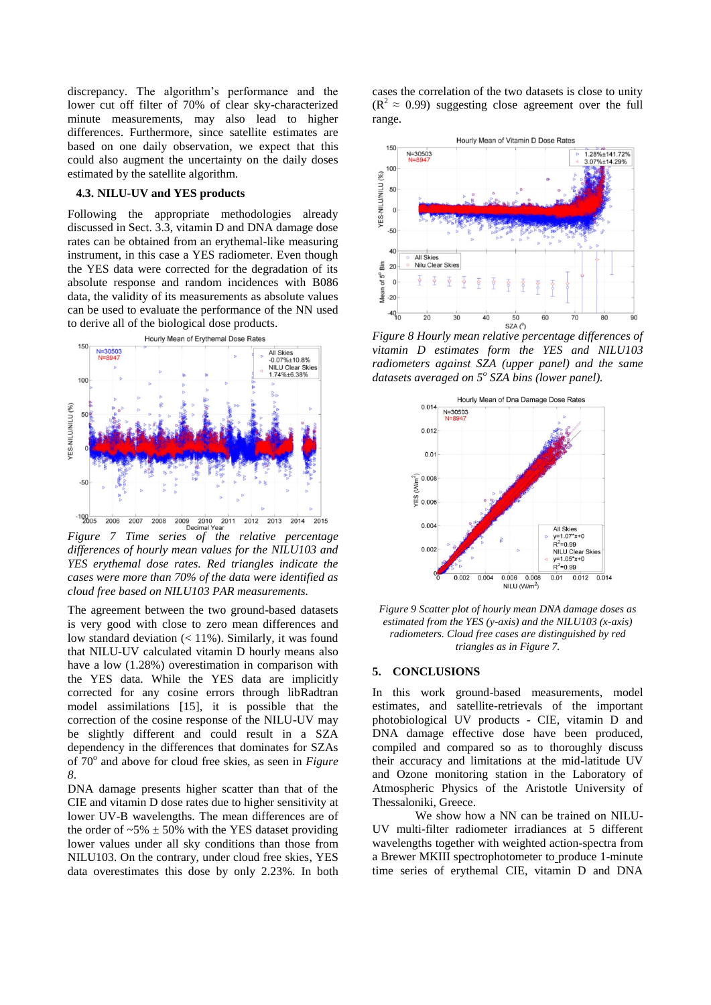discrepancy. The algorithm"s performance and the lower cut off filter of 70% of clear sky-characterized minute measurements, may also lead to higher differences. Furthermore, since satellite estimates are based on one daily observation, we expect that this could also augment the uncertainty on the daily doses estimated by the satellite algorithm.

## **4.3. NILU-UV and YES products**

Following the appropriate methodologies already discussed in Sect. 3.3, vitamin D and DNA damage dose rates can be obtained from an erythemal-like measuring instrument, in this case a YES radiometer. Even though the YES data were corrected for the degradation of its absolute response and random incidences with B086 data, the validity of its measurements as absolute values can be used to evaluate the performance of the NN used to derive all of the biological dose products.



<span id="page-5-1"></span>*differences of hourly mean values for the NILU103 and YES erythemal dose rates. Red triangles indicate the cases were more than 70% of the data were identified as cloud free based on NILU103 PAR measurements.*

The agreement between the two ground-based datasets is very good with close to zero mean differences and low standard deviation (< 11%). Similarly, it was found that NILU-UV calculated vitamin D hourly means also have a low (1.28%) overestimation in comparison with the YES data. While the YES data are implicitly corrected for any cosine errors through libRadtran model assimilations [15], it is possible that the correction of the cosine response of the NILU-UV may be slightly different and could result in a SZA dependency in the differences that dominates for SZAs of 70° and above for cloud free skies, as seen in *Figure [8](#page-5-0)*.

DNA damage presents higher scatter than that of the CIE and vitamin D dose rates due to higher sensitivity at lower UV-B wavelengths. The mean differences are of the order of  $-5\% \pm 50\%$  with the YES dataset providing lower values under all sky conditions than those from NILU103. On the contrary, under cloud free skies, YES data overestimates this dose by only 2.23%. In both cases the correlation of the two datasets is close to unity  $(R<sup>2</sup> \approx 0.99)$  suggesting close agreement over the full range.



<span id="page-5-0"></span>*Figure 8 Hourly mean relative percentage differences of vitamin D estimates form the YES and NILU103 radiometers against SZA (upper panel) and the same datasets averaged on 5<sup>o</sup> SZA bins (lower panel).*



*Figure 9 Scatter plot of hourly mean DNA damage doses as estimated from the YES (y-axis) and the NILU103 (x-axis) radiometers. Cloud free cases are distinguished by red triangles as i[n Figure 7.](#page-5-1)*

#### **5. CONCLUSIONS**

In this work ground-based measurements, model estimates, and satellite-retrievals of the important photobiological UV products - CIE, vitamin D and DNA damage effective dose have been produced, compiled and compared so as to thoroughly discuss their accuracy and limitations at the mid-latitude UV and Ozone monitoring station in the Laboratory of Atmospheric Physics of the Aristotle University of Thessaloniki, Greece.

We show how a NN can be trained on NILU-UV multi-filter radiometer irradiances at 5 different wavelengths together with weighted action-spectra from a Brewer MKIII spectrophotometer to produce 1-minute time series of erythemal CIE, vitamin D and DNA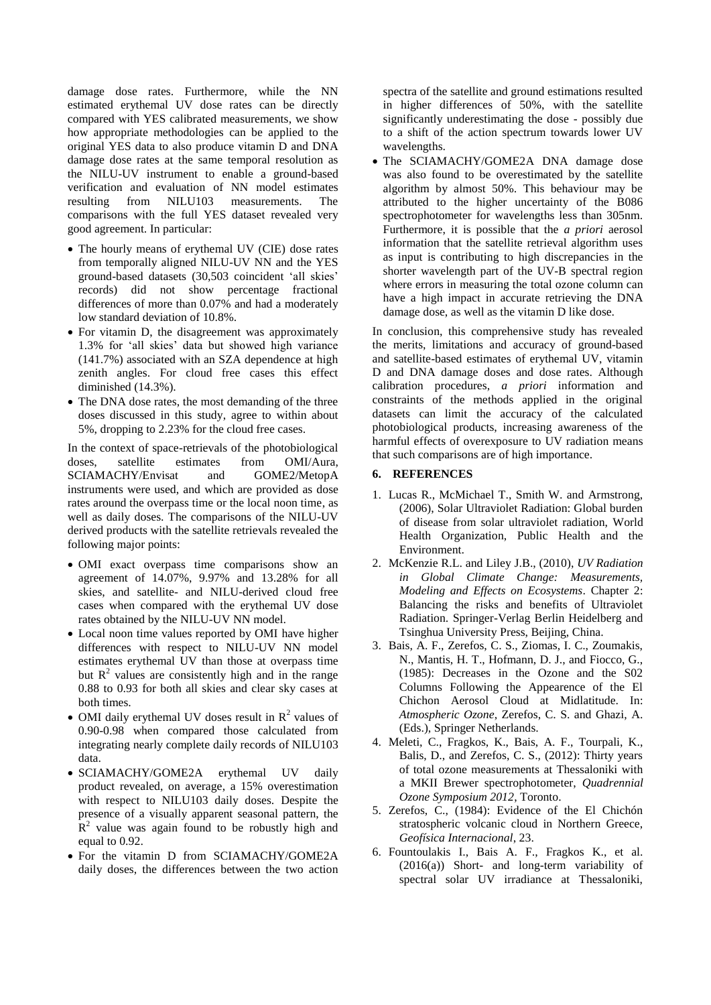damage dose rates. Furthermore, while the NN estimated erythemal UV dose rates can be directly compared with YES calibrated measurements, we show how appropriate methodologies can be applied to the original YES data to also produce vitamin D and DNA damage dose rates at the same temporal resolution as the NILU-UV instrument to enable a ground-based verification and evaluation of NN model estimates resulting from NILU103 measurements. The comparisons with the full YES dataset revealed very good agreement. In particular:

- The hourly means of erythemal UV (CIE) dose rates from temporally aligned NILU-UV NN and the YES ground-based datasets (30,503 coincident "all skies" records) did not show percentage fractional differences of more than 0.07% and had a moderately low standard deviation of 10.8%.
- For vitamin D, the disagreement was approximately 1.3% for "all skies" data but showed high variance (141.7%) associated with an SZA dependence at high zenith angles. For cloud free cases this effect diminished (14.3%).
- The DNA dose rates, the most demanding of the three doses discussed in this study, agree to within about 5%, dropping to 2.23% for the cloud free cases.

In the context of space-retrievals of the photobiological doses, satellite estimates from OMI/Aura, SCIAMACHY/Envisat and GOME2/MetopA instruments were used, and which are provided as dose rates around the overpass time or the local noon time, as well as daily doses. The comparisons of the NILU-UV derived products with the satellite retrievals revealed the following major points:

- OMI exact overpass time comparisons show an agreement of 14.07%, 9.97% and 13.28% for all skies, and satellite- and NILU-derived cloud free cases when compared with the erythemal UV dose rates obtained by the NILU-UV NN model.
- Local noon time values reported by OMI have higher differences with respect to NILU-UV NN model estimates erythemal UV than those at overpass time but  $R<sup>2</sup>$  values are consistently high and in the range 0.88 to 0.93 for both all skies and clear sky cases at both times.
- OMI daily erythemal UV doses result in  $R^2$  values of 0.90-0.98 when compared those calculated from integrating nearly complete daily records of NILU103 data.
- SCIAMACHY/GOME2A erythemal UV daily product revealed, on average, a 15% overestimation with respect to NILU103 daily doses. Despite the presence of a visually apparent seasonal pattern, the  $R<sup>2</sup>$  value was again found to be robustly high and equal to 0.92.
- For the vitamin D from SCIAMACHY/GOME2A daily doses, the differences between the two action

spectra of the satellite and ground estimations resulted in higher differences of 50%, with the satellite significantly underestimating the dose - possibly due to a shift of the action spectrum towards lower UV wavelengths.

 The SCIAMACHY/GOME2A DNA damage dose was also found to be overestimated by the satellite algorithm by almost 50%. This behaviour may be attributed to the higher uncertainty of the B086 spectrophotometer for wavelengths less than 305nm. Furthermore, it is possible that the *a priori* aerosol information that the satellite retrieval algorithm uses as input is contributing to high discrepancies in the shorter wavelength part of the UV-B spectral region where errors in measuring the total ozone column can have a high impact in accurate retrieving the DNA damage dose, as well as the vitamin D like dose.

In conclusion, this comprehensive study has revealed the merits, limitations and accuracy of ground-based and satellite-based estimates of erythemal UV, vitamin D and DNA damage doses and dose rates. Although calibration procedures, *a priori* information and constraints of the methods applied in the original datasets can limit the accuracy of the calculated photobiological products, increasing awareness of the harmful effects of overexposure to UV radiation means that such comparisons are of high importance.

### **6. REFERENCES**

- 1. Lucas R., McMichael T., Smith W. and Armstrong, (2006), Solar Ultraviolet Radiation: Global burden of disease from solar ultraviolet radiation, World Health Organization, Public Health and the Environment.
- 2. McKenzie R.L. and Liley J.B., (2010), *UV Radiation in Global Climate Change: Measurements, Modeling and Effects on Ecosystems*. Chapter 2: Balancing the risks and benefits of Ultraviolet Radiation. Springer-Verlag Berlin Heidelberg and Tsinghua University Press, Beijing, China.
- 3. Bais, A. F., Zerefos, C. S., Ziomas, I. C., Zoumakis, N., Mantis, H. T., Hofmann, D. J., and Fiocco, G., (1985): Decreases in the Ozone and the S02 Columns Following the Appearence of the El Chichon Aerosol Cloud at Midlatitude. In: *Atmospheric Ozone*, Zerefos, C. S. and Ghazi, A. (Eds.), Springer Netherlands.
- 4. Meleti, C., Fragkos, K., Bais, A. F., Tourpali, K., Balis, D., and Zerefos, C. S., (2012): Thirty years of total ozone measurements at Thessaloniki with a MKII Brewer spectrophotometer, *Quadrennial Ozone Symposium 2012*, Toronto.
- 5. Zerefos, C., (1984): Evidence of the El Chichón stratospheric volcanic cloud in Northern Greece, *Geofísica Internacional*, 23.
- 6. Fountoulakis I., Bais A. F., Fragkos K., et al. (2016(a)) Short- and long-term variability of spectral solar UV irradiance at Thessaloniki,